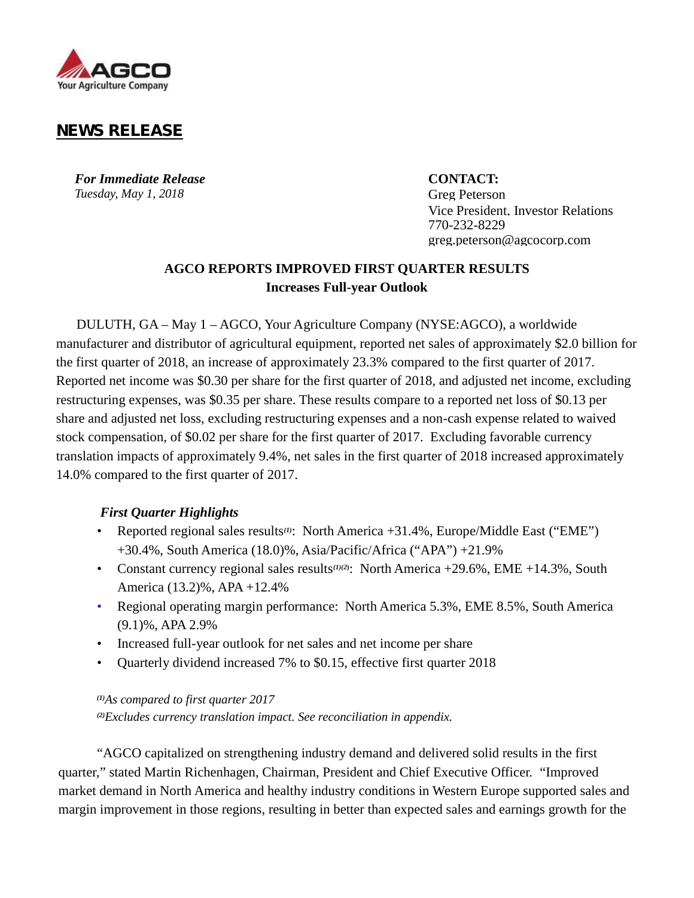

# **NEWS RELEASE**

*For Immediate Release* **CONTACT:** *Tuesday, May 1, 2018* Greg Peterson

Vice President, Investor Relations 770-232-8229 greg.peterson@agcocorp.com

# **AGCO REPORTS IMPROVED FIRST QUARTER RESULTS Increases Full-year Outlook**

DULUTH, GA – May 1 – AGCO, Your Agriculture Company (NYSE:AGCO), a worldwide manufacturer and distributor of agricultural equipment, reported net sales of approximately \$2.0 billion for the first quarter of 2018, an increase of approximately 23.3% compared to the first quarter of 2017. Reported net income was \$0.30 per share for the first quarter of 2018, and adjusted net income, excluding restructuring expenses, was \$0.35 per share. These results compare to a reported net loss of \$0.13 per share and adjusted net loss, excluding restructuring expenses and a non-cash expense related to waived stock compensation, of \$0.02 per share for the first quarter of 2017. Excluding favorable currency translation impacts of approximately 9.4%, net sales in the first quarter of 2018 increased approximately 14.0% compared to the first quarter of 2017.

# *First Quarter Highlights*

- Reported regional sales results<sup>(1)</sup>: North America +31.4%, Europe/Middle East ("EME") +30.4%, South America (18.0)%, Asia/Pacific/Africa ("APA") +21.9%
- Constant currency regional sales results<sup>(1)(2)</sup>: North America +29.6%, EME +14.3%, South America (13.2)%, APA +12.4%
- Regional operating margin performance: North America 5.3%, EME 8.5%, South America (9.1)%, APA 2.9%
- Increased full-year outlook for net sales and net income per share
- Quarterly dividend increased 7% to \$0.15, effective first quarter 2018

# *(1)As compared to first quarter 2017 (2)Excludes currency translation impact. See reconciliation in appendix.*

"AGCO capitalized on strengthening industry demand and delivered solid results in the first quarter," stated Martin Richenhagen, Chairman, President and Chief Executive Officer. "Improved market demand in North America and healthy industry conditions in Western Europe supported sales and margin improvement in those regions, resulting in better than expected sales and earnings growth for the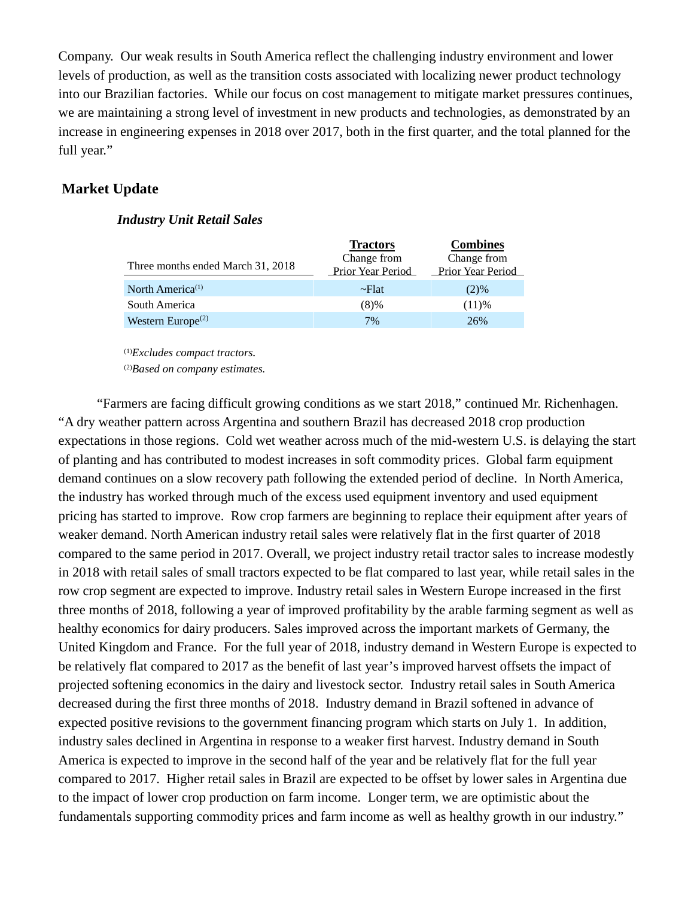Company. Our weak results in South America reflect the challenging industry environment and lower levels of production, as well as the transition costs associated with localizing newer product technology into our Brazilian factories. While our focus on cost management to mitigate market pressures continues, we are maintaining a strong level of investment in new products and technologies, as demonstrated by an increase in engineering expenses in 2018 over 2017, both in the first quarter, and the total planned for the full year."

# **Market Update**

### *Industry Unit Retail Sales*

|                                            | <b>Tractors</b>                         | <b>Combines</b>                         |
|--------------------------------------------|-----------------------------------------|-----------------------------------------|
| Three months ended March 31, 2018          | Change from<br><b>Prior Year Period</b> | Change from<br><b>Prior Year Period</b> |
| North America <sup>(1)</sup>               | $\sim$ Flat                             | (2)%                                    |
| South America                              | $(8)\%$                                 | $(11)$ %                                |
| Western Europe <sup><math>(2)</math></sup> | 7%                                      | 26%                                     |

(1)*Excludes compact tractors.*

(2)*Based on company estimates.*

"Farmers are facing difficult growing conditions as we start 2018," continued Mr. Richenhagen. "A dry weather pattern across Argentina and southern Brazil has decreased 2018 crop production expectations in those regions. Cold wet weather across much of the mid-western U.S. is delaying the start of planting and has contributed to modest increases in soft commodity prices. Global farm equipment demand continues on a slow recovery path following the extended period of decline. In North America, the industry has worked through much of the excess used equipment inventory and used equipment pricing has started to improve. Row crop farmers are beginning to replace their equipment after years of weaker demand. North American industry retail sales were relatively flat in the first quarter of 2018 compared to the same period in 2017. Overall, we project industry retail tractor sales to increase modestly in 2018 with retail sales of small tractors expected to be flat compared to last year, while retail sales in the row crop segment are expected to improve. Industry retail sales in Western Europe increased in the first three months of 2018, following a year of improved profitability by the arable farming segment as well as healthy economics for dairy producers. Sales improved across the important markets of Germany, the United Kingdom and France. For the full year of 2018, industry demand in Western Europe is expected to be relatively flat compared to 2017 as the benefit of last year's improved harvest offsets the impact of projected softening economics in the dairy and livestock sector. Industry retail sales in South America decreased during the first three months of 2018. Industry demand in Brazil softened in advance of expected positive revisions to the government financing program which starts on July 1. In addition, industry sales declined in Argentina in response to a weaker first harvest. Industry demand in South America is expected to improve in the second half of the year and be relatively flat for the full year compared to 2017. Higher retail sales in Brazil are expected to be offset by lower sales in Argentina due to the impact of lower crop production on farm income. Longer term, we are optimistic about the fundamentals supporting commodity prices and farm income as well as healthy growth in our industry."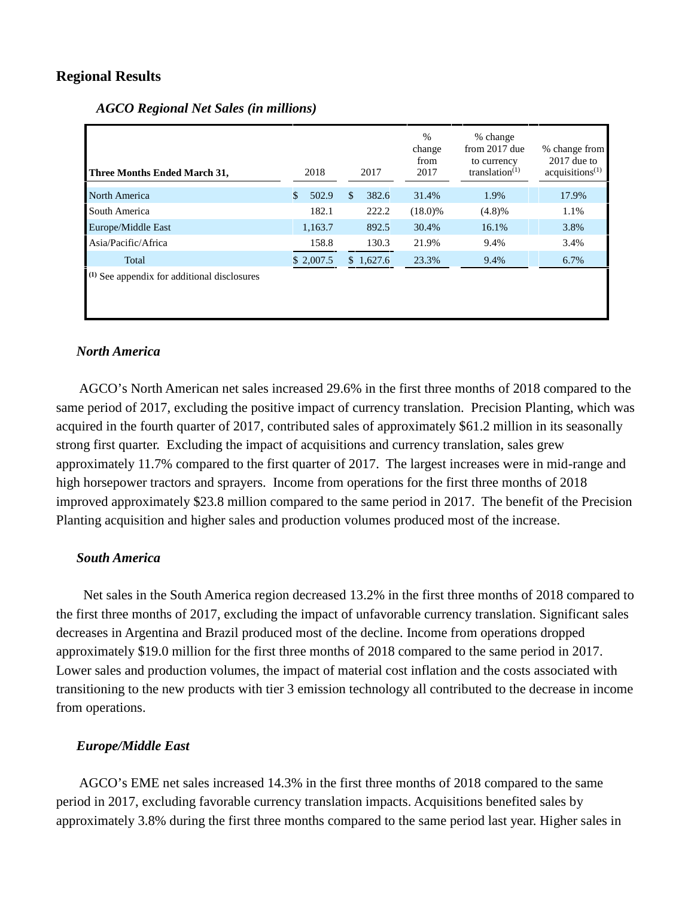# **Regional Results**

| Three Months Ended March 31,                  | 2018                  | 2017                  | $\%$<br>change<br>from<br>2017 | % change<br>from 2017 due<br>to currency<br>translation $(1)$ | % change from<br>$2017$ due to<br>acquisitions <sup>(1)</sup> |
|-----------------------------------------------|-----------------------|-----------------------|--------------------------------|---------------------------------------------------------------|---------------------------------------------------------------|
| North America                                 | $\mathbb{S}$<br>502.9 | 382.6<br>$\mathbb{S}$ | 31.4%                          | 1.9%                                                          | 17.9%                                                         |
| South America                                 | 182.1                 | 222.2                 | $(18.0)\%$                     | (4.8)%                                                        | 1.1%                                                          |
| Europe/Middle East                            | 1,163.7               | 892.5                 | 30.4%                          | 16.1%                                                         | 3.8%                                                          |
| Asia/Pacific/Africa                           | 158.8                 | 130.3                 | 21.9%                          | 9.4%                                                          | 3.4%                                                          |
| Total                                         | \$2,007.5             | \$1,627.6             | 23.3%                          | 9.4%                                                          | 6.7%                                                          |
| $(1)$ See appendix for additional disclosures |                       |                       |                                |                                                               |                                                               |

#### *AGCO Regional Net Sales (in millions)*

### *North America*

AGCO's North American net sales increased 29.6% in the first three months of 2018 compared to the same period of 2017, excluding the positive impact of currency translation. Precision Planting, which was acquired in the fourth quarter of 2017, contributed sales of approximately \$61.2 million in its seasonally strong first quarter. Excluding the impact of acquisitions and currency translation, sales grew approximately 11.7% compared to the first quarter of 2017. The largest increases were in mid-range and high horsepower tractors and sprayers. Income from operations for the first three months of 2018 improved approximately \$23.8 million compared to the same period in 2017. The benefit of the Precision Planting acquisition and higher sales and production volumes produced most of the increase.

### *South America*

Net sales in the South America region decreased 13.2% in the first three months of 2018 compared to the first three months of 2017, excluding the impact of unfavorable currency translation. Significant sales decreases in Argentina and Brazil produced most of the decline. Income from operations dropped approximately \$19.0 million for the first three months of 2018 compared to the same period in 2017. Lower sales and production volumes, the impact of material cost inflation and the costs associated with transitioning to the new products with tier 3 emission technology all contributed to the decrease in income from operations.

## *Europe/Middle East*

AGCO's EME net sales increased 14.3% in the first three months of 2018 compared to the same period in 2017, excluding favorable currency translation impacts. Acquisitions benefited sales by approximately 3.8% during the first three months compared to the same period last year. Higher sales in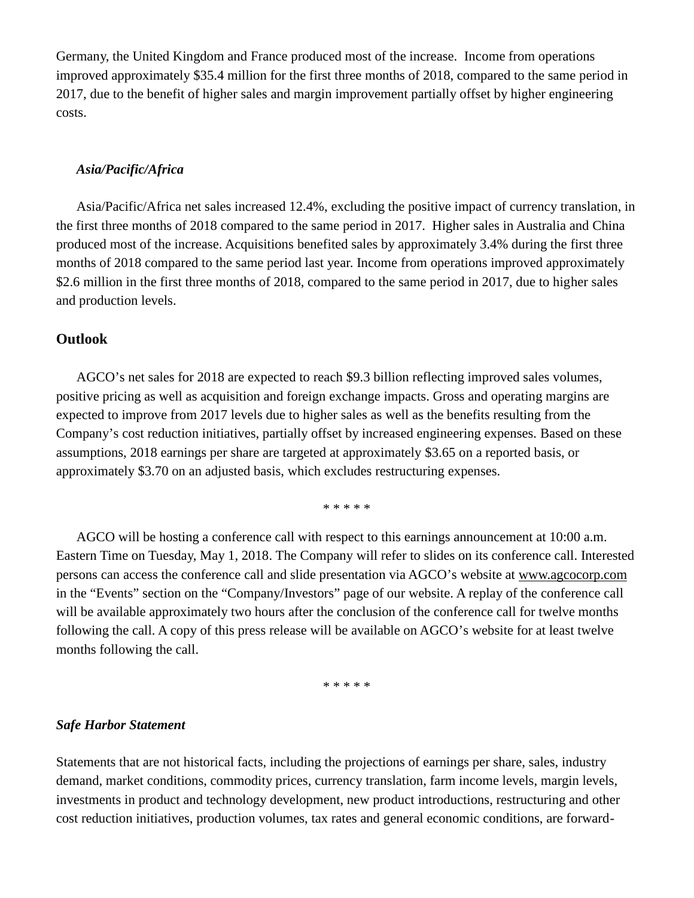Germany, the United Kingdom and France produced most of the increase. Income from operations improved approximately \$35.4 million for the first three months of 2018, compared to the same period in 2017, due to the benefit of higher sales and margin improvement partially offset by higher engineering costs.

#### *Asia/Pacific/Africa*

Asia/Pacific/Africa net sales increased 12.4%, excluding the positive impact of currency translation, in the first three months of 2018 compared to the same period in 2017. Higher sales in Australia and China produced most of the increase. Acquisitions benefited sales by approximately 3.4% during the first three months of 2018 compared to the same period last year. Income from operations improved approximately \$2.6 million in the first three months of 2018, compared to the same period in 2017, due to higher sales and production levels.

## **Outlook**

AGCO's net sales for 2018 are expected to reach \$9.3 billion reflecting improved sales volumes, positive pricing as well as acquisition and foreign exchange impacts. Gross and operating margins are expected to improve from 2017 levels due to higher sales as well as the benefits resulting from the Company's cost reduction initiatives, partially offset by increased engineering expenses. Based on these assumptions, 2018 earnings per share are targeted at approximately \$3.65 on a reported basis, or approximately \$3.70 on an adjusted basis, which excludes restructuring expenses.

\* \* \* \* \*

AGCO will be hosting a conference call with respect to this earnings announcement at 10:00 a.m. Eastern Time on Tuesday, May 1, 2018. The Company will refer to slides on its conference call. Interested persons can access the conference call and slide presentation via AGCO's website at www.agcocorp.com in the "Events" section on the "Company/Investors" page of our website. A replay of the conference call will be available approximately two hours after the conclusion of the conference call for twelve months following the call. A copy of this press release will be available on AGCO's website for at least twelve months following the call.

\* \* \* \* \*

#### *Safe Harbor Statement*

Statements that are not historical facts, including the projections of earnings per share, sales, industry demand, market conditions, commodity prices, currency translation, farm income levels, margin levels, investments in product and technology development, new product introductions, restructuring and other cost reduction initiatives, production volumes, tax rates and general economic conditions, are forward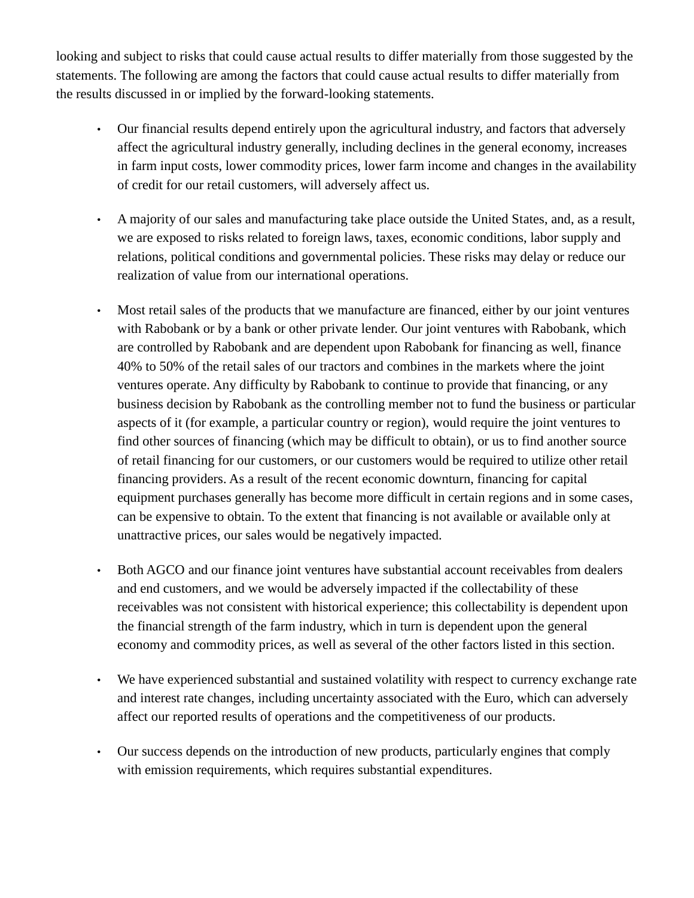looking and subject to risks that could cause actual results to differ materially from those suggested by the statements. The following are among the factors that could cause actual results to differ materially from the results discussed in or implied by the forward-looking statements.

- Our financial results depend entirely upon the agricultural industry, and factors that adversely affect the agricultural industry generally, including declines in the general economy, increases in farm input costs, lower commodity prices, lower farm income and changes in the availability of credit for our retail customers, will adversely affect us.
- A majority of our sales and manufacturing take place outside the United States, and, as a result, we are exposed to risks related to foreign laws, taxes, economic conditions, labor supply and relations, political conditions and governmental policies. These risks may delay or reduce our realization of value from our international operations.
- Most retail sales of the products that we manufacture are financed, either by our joint ventures with Rabobank or by a bank or other private lender. Our joint ventures with Rabobank, which are controlled by Rabobank and are dependent upon Rabobank for financing as well, finance 40% to 50% of the retail sales of our tractors and combines in the markets where the joint ventures operate. Any difficulty by Rabobank to continue to provide that financing, or any business decision by Rabobank as the controlling member not to fund the business or particular aspects of it (for example, a particular country or region), would require the joint ventures to find other sources of financing (which may be difficult to obtain), or us to find another source of retail financing for our customers, or our customers would be required to utilize other retail financing providers. As a result of the recent economic downturn, financing for capital equipment purchases generally has become more difficult in certain regions and in some cases, can be expensive to obtain. To the extent that financing is not available or available only at unattractive prices, our sales would be negatively impacted.
- Both AGCO and our finance joint ventures have substantial account receivables from dealers and end customers, and we would be adversely impacted if the collectability of these receivables was not consistent with historical experience; this collectability is dependent upon the financial strength of the farm industry, which in turn is dependent upon the general economy and commodity prices, as well as several of the other factors listed in this section.
- We have experienced substantial and sustained volatility with respect to currency exchange rate and interest rate changes, including uncertainty associated with the Euro, which can adversely affect our reported results of operations and the competitiveness of our products.
- Our success depends on the introduction of new products, particularly engines that comply with emission requirements, which requires substantial expenditures.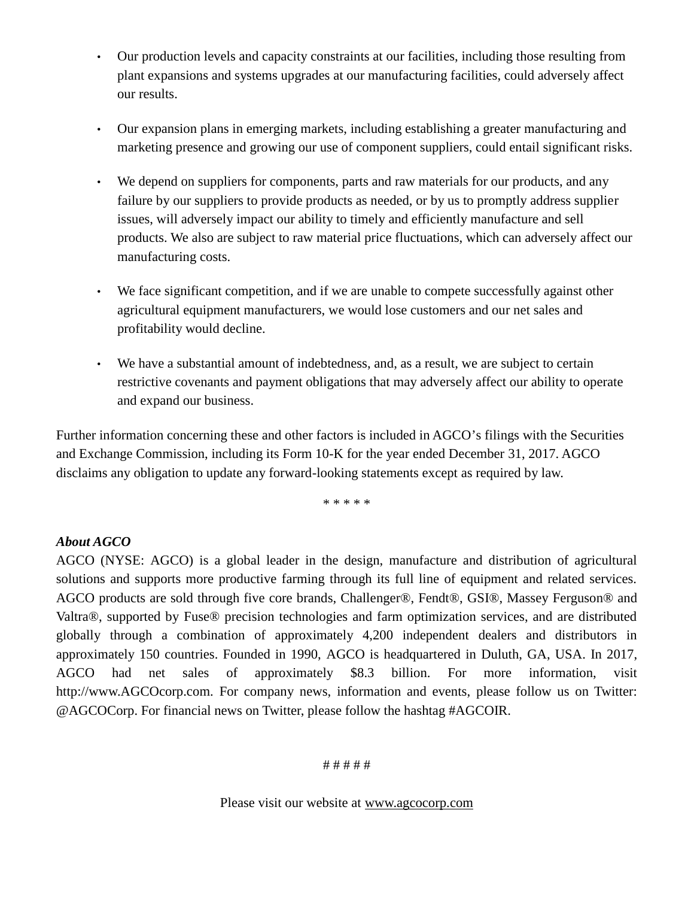- Our production levels and capacity constraints at our facilities, including those resulting from plant expansions and systems upgrades at our manufacturing facilities, could adversely affect our results.
- Our expansion plans in emerging markets, including establishing a greater manufacturing and marketing presence and growing our use of component suppliers, could entail significant risks.
- We depend on suppliers for components, parts and raw materials for our products, and any failure by our suppliers to provide products as needed, or by us to promptly address supplier issues, will adversely impact our ability to timely and efficiently manufacture and sell products. We also are subject to raw material price fluctuations, which can adversely affect our manufacturing costs.
- We face significant competition, and if we are unable to compete successfully against other agricultural equipment manufacturers, we would lose customers and our net sales and profitability would decline.
- We have a substantial amount of indebtedness, and, as a result, we are subject to certain restrictive covenants and payment obligations that may adversely affect our ability to operate and expand our business.

Further information concerning these and other factors is included in AGCO's filings with the Securities and Exchange Commission, including its Form 10-K for the year ended December 31, 2017. AGCO disclaims any obligation to update any forward-looking statements except as required by law.

\* \* \* \* \*

# *About AGCO*

AGCO (NYSE: AGCO) is a global leader in the design, manufacture and distribution of agricultural solutions and supports more productive farming through its full line of equipment and related services. AGCO products are sold through five core brands, Challenger®, Fendt®, GSI®, Massey Ferguson® and Valtra®, supported by Fuse® precision technologies and farm optimization services, and are distributed globally through a combination of approximately 4,200 independent dealers and distributors in approximately 150 countries. Founded in 1990, AGCO is headquartered in Duluth, GA, USA. In 2017, AGCO had net sales of approximately \$8.3 billion. For more information, visit http://www.AGCOcorp.com. For company news, information and events, please follow us on Twitter: @AGCOCorp. For financial news on Twitter, please follow the hashtag #AGCOIR.

## # # # # #

Please visit our website at www.agcocorp.com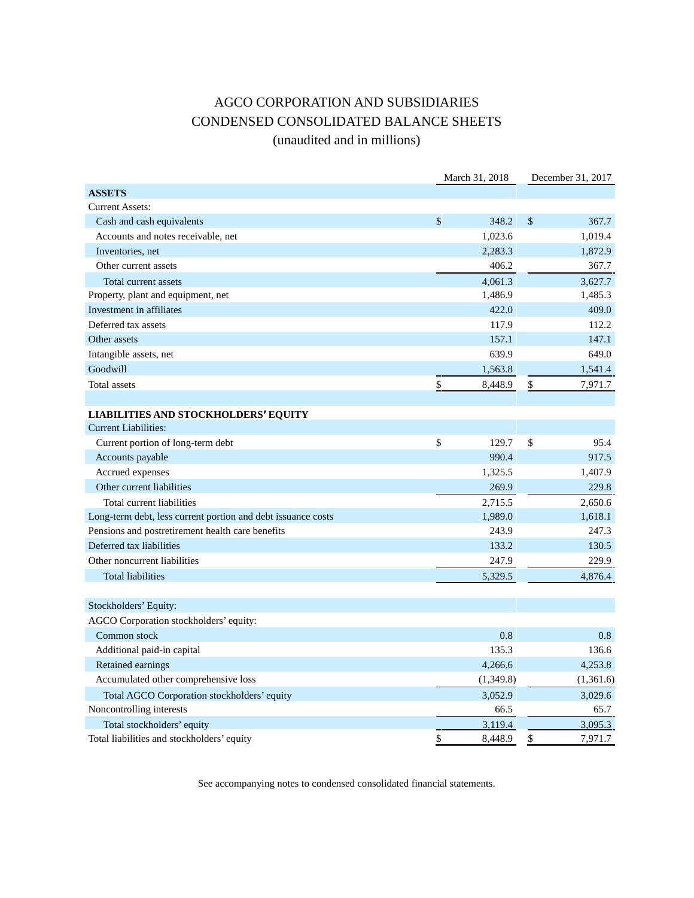# AGCO CORPORATION AND SUBSIDIARIES CONDENSED CONSOLIDATED BALANCE SHEETS (unaudited and in millions)

|                                                              | March 31, 2018 |           | December 31, 2017 |           |  |
|--------------------------------------------------------------|----------------|-----------|-------------------|-----------|--|
| <b>ASSETS</b>                                                |                |           |                   |           |  |
| <b>Current Assets:</b>                                       |                |           |                   |           |  |
| Cash and cash equivalents                                    | \$             | 348.2     | \$                | 367.7     |  |
| Accounts and notes receivable, net                           |                | 1,023.6   |                   | 1,019.4   |  |
| Inventories, net                                             |                | 2,283.3   |                   | 1,872.9   |  |
| Other current assets                                         |                | 406.2     |                   | 367.7     |  |
| Total current assets                                         |                | 4,061.3   |                   | 3,627.7   |  |
| Property, plant and equipment, net                           |                | 1,486.9   |                   | 1,485.3   |  |
| Investment in affiliates                                     |                | 422.0     |                   | 409.0     |  |
| Deferred tax assets                                          |                | 117.9     |                   | 112.2     |  |
| Other assets                                                 |                | 157.1     |                   | 147.1     |  |
| Intangible assets, net                                       |                | 639.9     |                   | 649.0     |  |
| Goodwill                                                     |                | 1,563.8   |                   | 1,541.4   |  |
| Total assets                                                 | \$             | 8,448.9   | \$                | 7,971.7   |  |
|                                                              |                |           |                   |           |  |
| <b>LIABILITIES AND STOCKHOLDERS' EQUITY</b>                  |                |           |                   |           |  |
| <b>Current Liabilities:</b>                                  |                |           |                   |           |  |
| Current portion of long-term debt                            | \$             | 129.7     | \$                | 95.4      |  |
| Accounts payable                                             |                | 990.4     |                   | 917.5     |  |
| Accrued expenses                                             |                | 1,325.5   |                   | 1,407.9   |  |
| Other current liabilities                                    |                | 269.9     |                   | 229.8     |  |
| Total current liabilities                                    |                | 2,715.5   |                   | 2,650.6   |  |
| Long-term debt, less current portion and debt issuance costs |                | 1,989.0   |                   | 1,618.1   |  |
| Pensions and postretirement health care benefits             |                | 243.9     |                   | 247.3     |  |
| Deferred tax liabilities                                     |                | 133.2     |                   | 130.5     |  |
| Other noncurrent liabilities                                 |                | 247.9     |                   | 229.9     |  |
| <b>Total liabilities</b>                                     |                | 5,329.5   |                   | 4,876.4   |  |
|                                                              |                |           |                   |           |  |
| Stockholders' Equity:                                        |                |           |                   |           |  |
| AGCO Corporation stockholders' equity:                       |                |           |                   |           |  |
| Common stock                                                 |                | 0.8       |                   | 0.8       |  |
| Additional paid-in capital                                   |                | 135.3     |                   | 136.6     |  |
| Retained earnings                                            |                | 4,266.6   |                   | 4,253.8   |  |
| Accumulated other comprehensive loss                         |                | (1,349.8) |                   | (1,361.6) |  |
| Total AGCO Corporation stockholders' equity                  |                | 3,052.9   |                   | 3,029.6   |  |
| Noncontrolling interests                                     |                | 66.5      |                   | 65.7      |  |
| Total stockholders' equity                                   |                | 3,119.4   |                   | 3,095.3   |  |
| Total liabilities and stockholders' equity                   | \$             | 8,448.9   | \$                | 7,971.7   |  |

See accompanying notes to condensed consolidated financial statements.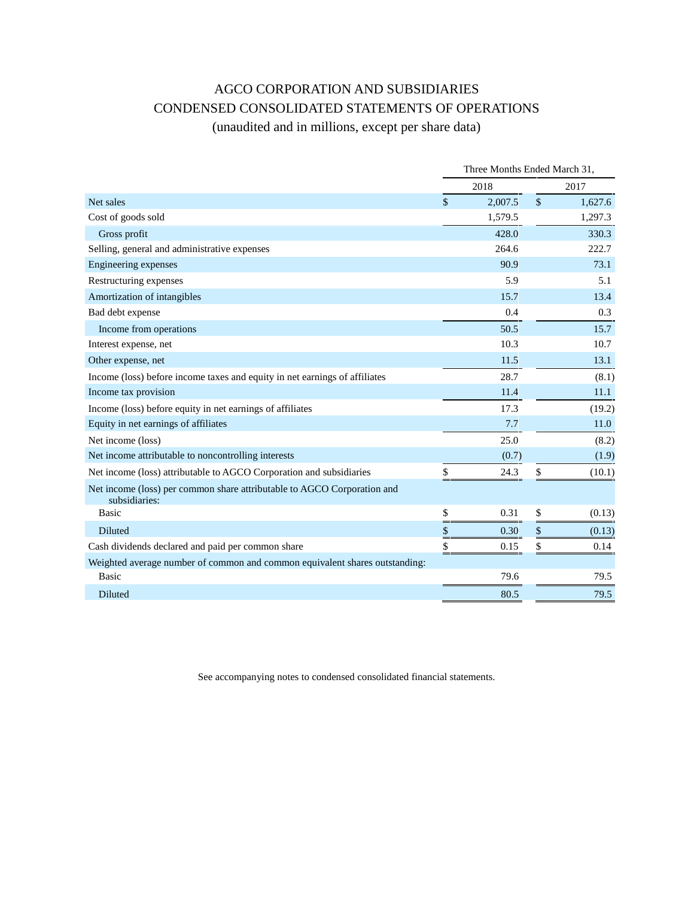# AGCO CORPORATION AND SUBSIDIARIES CONDENSED CONSOLIDATED STATEMENTS OF OPERATIONS

(unaudited and in millions, except per share data)

|                                                                                          | Three Months Ended March 31, |         |      |         |  |  |  |
|------------------------------------------------------------------------------------------|------------------------------|---------|------|---------|--|--|--|
|                                                                                          |                              | 2018    |      | 2017    |  |  |  |
| Net sales                                                                                | \$                           | 2,007.5 | \$   | 1,627.6 |  |  |  |
| Cost of goods sold                                                                       |                              | 1,579.5 |      | 1,297.3 |  |  |  |
| Gross profit                                                                             |                              | 428.0   |      | 330.3   |  |  |  |
| Selling, general and administrative expenses                                             |                              | 264.6   |      | 222.7   |  |  |  |
| Engineering expenses                                                                     |                              | 90.9    |      | 73.1    |  |  |  |
| Restructuring expenses                                                                   |                              | 5.9     |      | 5.1     |  |  |  |
| Amortization of intangibles                                                              |                              | 15.7    |      | 13.4    |  |  |  |
| Bad debt expense                                                                         |                              | 0.4     |      | 0.3     |  |  |  |
| Income from operations                                                                   |                              | 50.5    |      | 15.7    |  |  |  |
| Interest expense, net                                                                    |                              | 10.3    |      | 10.7    |  |  |  |
| Other expense, net                                                                       |                              | 11.5    |      | 13.1    |  |  |  |
| Income (loss) before income taxes and equity in net earnings of affiliates               |                              | 28.7    |      | (8.1)   |  |  |  |
| Income tax provision                                                                     |                              | 11.4    |      | 11.1    |  |  |  |
| Income (loss) before equity in net earnings of affiliates                                |                              | 17.3    |      | (19.2)  |  |  |  |
| Equity in net earnings of affiliates                                                     |                              | 7.7     |      | 11.0    |  |  |  |
| Net income (loss)                                                                        |                              | 25.0    |      | (8.2)   |  |  |  |
| Net income attributable to noncontrolling interests                                      |                              | (0.7)   |      | (1.9)   |  |  |  |
| Net income (loss) attributable to AGCO Corporation and subsidiaries                      | \$                           | 24.3    | \$   | (10.1)  |  |  |  |
| Net income (loss) per common share attributable to AGCO Corporation and<br>subsidiaries: |                              |         |      |         |  |  |  |
| Basic                                                                                    | \$                           | 0.31    | \$   | (0.13)  |  |  |  |
| Diluted                                                                                  | \$                           | 0.30    | $\$$ | (0.13)  |  |  |  |
| Cash dividends declared and paid per common share                                        | \$                           | 0.15    | \$   | 0.14    |  |  |  |
| Weighted average number of common and common equivalent shares outstanding:              |                              |         |      |         |  |  |  |
| <b>Basic</b>                                                                             |                              | 79.6    |      | 79.5    |  |  |  |
| Diluted                                                                                  |                              | 80.5    |      | 79.5    |  |  |  |
|                                                                                          |                              |         |      |         |  |  |  |

See accompanying notes to condensed consolidated financial statements.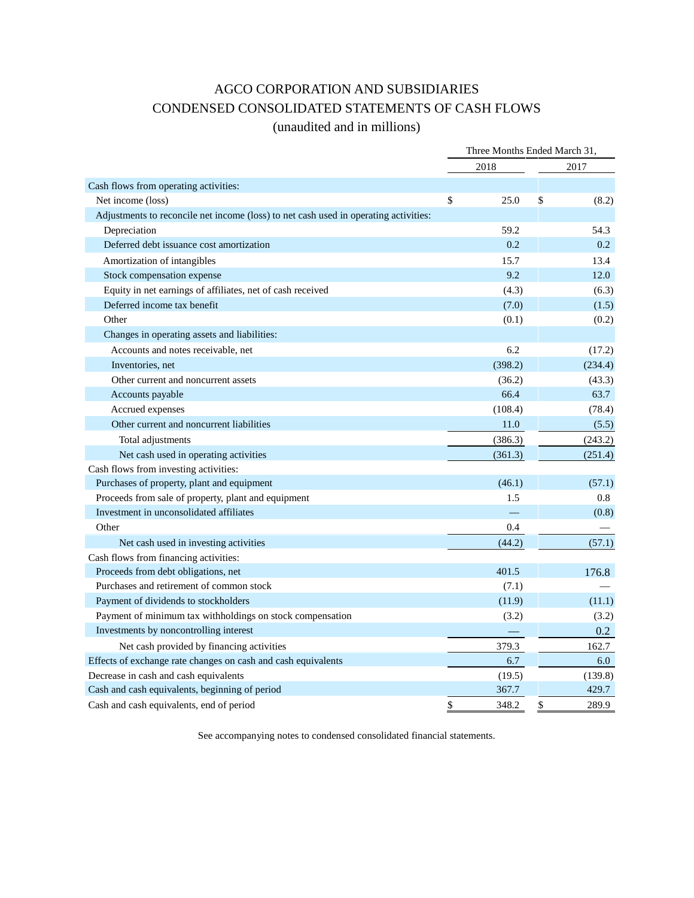# AGCO CORPORATION AND SUBSIDIARIES CONDENSED CONSOLIDATED STATEMENTS OF CASH FLOWS

# (unaudited and in millions)

|                                                                                      | Three Months Ended March 31, |    |         |  |
|--------------------------------------------------------------------------------------|------------------------------|----|---------|--|
|                                                                                      | 2018                         |    | 2017    |  |
| Cash flows from operating activities:                                                |                              |    |         |  |
| Net income (loss)                                                                    | \$<br>25.0                   | \$ | (8.2)   |  |
| Adjustments to reconcile net income (loss) to net cash used in operating activities: |                              |    |         |  |
| Depreciation                                                                         | 59.2                         |    | 54.3    |  |
| Deferred debt issuance cost amortization                                             | 0.2                          |    | 0.2     |  |
| Amortization of intangibles                                                          | 15.7                         |    | 13.4    |  |
| Stock compensation expense                                                           | 9.2                          |    | 12.0    |  |
| Equity in net earnings of affiliates, net of cash received                           | (4.3)                        |    | (6.3)   |  |
| Deferred income tax benefit                                                          | (7.0)                        |    | (1.5)   |  |
| Other                                                                                | (0.1)                        |    | (0.2)   |  |
| Changes in operating assets and liabilities:                                         |                              |    |         |  |
| Accounts and notes receivable, net                                                   | 6.2                          |    | (17.2)  |  |
| Inventories, net                                                                     | (398.2)                      |    | (234.4) |  |
| Other current and noncurrent assets                                                  | (36.2)                       |    | (43.3)  |  |
| Accounts payable                                                                     | 66.4                         |    | 63.7    |  |
| Accrued expenses                                                                     | (108.4)                      |    | (78.4)  |  |
| Other current and noncurrent liabilities                                             | 11.0                         |    | (5.5)   |  |
| Total adjustments                                                                    | (386.3)                      |    | (243.2) |  |
| Net cash used in operating activities                                                | (361.3)                      |    | (251.4) |  |
| Cash flows from investing activities:                                                |                              |    |         |  |
| Purchases of property, plant and equipment                                           | (46.1)                       |    | (57.1)  |  |
| Proceeds from sale of property, plant and equipment                                  | 1.5                          |    | 0.8     |  |
| Investment in unconsolidated affiliates                                              |                              |    | (0.8)   |  |
| Other                                                                                | 0.4                          |    |         |  |
| Net cash used in investing activities                                                | (44.2)                       |    | (57.1)  |  |
| Cash flows from financing activities:                                                |                              |    |         |  |
| Proceeds from debt obligations, net                                                  | 401.5                        |    | 176.8   |  |
| Purchases and retirement of common stock                                             | (7.1)                        |    |         |  |
| Payment of dividends to stockholders                                                 | (11.9)                       |    | (11.1)  |  |
| Payment of minimum tax withholdings on stock compensation                            | (3.2)                        |    | (3.2)   |  |
| Investments by noncontrolling interest                                               |                              |    | 0.2     |  |
| Net cash provided by financing activities                                            | 379.3                        |    | 162.7   |  |
| Effects of exchange rate changes on cash and cash equivalents                        | 6.7                          |    | 6.0     |  |
| Decrease in cash and cash equivalents                                                | (19.5)                       |    | (139.8) |  |
| Cash and cash equivalents, beginning of period                                       | 367.7                        |    | 429.7   |  |
| Cash and cash equivalents, end of period                                             | \$<br>348.2                  | \$ | 289.9   |  |

See accompanying notes to condensed consolidated financial statements.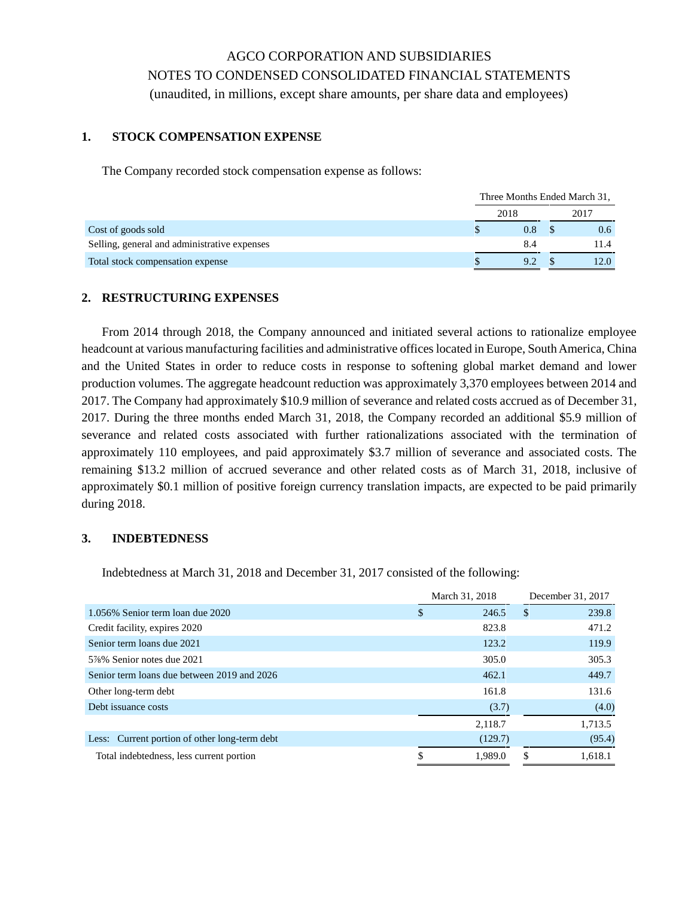# AGCO CORPORATION AND SUBSIDIARIES NOTES TO CONDENSED CONSOLIDATED FINANCIAL STATEMENTS (unaudited, in millions, except share amounts, per share data and employees)

### **1. STOCK COMPENSATION EXPENSE**

The Company recorded stock compensation expense as follows:

|                                              | Three Months Ended March 31, |      |      |  |  |  |  |
|----------------------------------------------|------------------------------|------|------|--|--|--|--|
|                                              | 2018                         | 2017 |      |  |  |  |  |
| Cost of goods sold                           | 0.8                          |      | 0.6  |  |  |  |  |
| Selling, general and administrative expenses | 8.4                          |      | 11.4 |  |  |  |  |
| Total stock compensation expense             |                              |      | 12.0 |  |  |  |  |

#### **2. RESTRUCTURING EXPENSES**

From 2014 through 2018, the Company announced and initiated several actions to rationalize employee headcount at various manufacturing facilities and administrative offices located in Europe, South America, China and the United States in order to reduce costs in response to softening global market demand and lower production volumes. The aggregate headcount reduction was approximately 3,370 employees between 2014 and 2017. The Company had approximately \$10.9 million of severance and related costs accrued as of December 31, 2017. During the three months ended March 31, 2018, the Company recorded an additional \$5.9 million of severance and related costs associated with further rationalizations associated with the termination of approximately 110 employees, and paid approximately \$3.7 million of severance and associated costs. The remaining \$13.2 million of accrued severance and other related costs as of March 31, 2018, inclusive of approximately \$0.1 million of positive foreign currency translation impacts, are expected to be paid primarily during 2018.

#### **3. INDEBTEDNESS**

Indebtedness at March 31, 2018 and December 31, 2017 consisted of the following:

|                                               |   | March 31, 2018 | December 31, 2017 |
|-----------------------------------------------|---|----------------|-------------------|
| 1.056% Senior term loan due 2020              | S | 246.5          | \$<br>239.8       |
| Credit facility, expires 2020                 |   | 823.8          | 471.2             |
| Senior term loans due 2021                    |   | 123.2          | 119.9             |
| 5 % Senior notes due 2021                     |   | 305.0          | 305.3             |
| Senior term loans due between 2019 and 2026   |   | 462.1          | 449.7             |
| Other long-term debt                          |   | 161.8          | 131.6             |
| Debt issuance costs                           |   | (3.7)          | (4.0)             |
|                                               |   | 2,118.7        | 1,713.5           |
| Less: Current portion of other long-term debt |   | (129.7)        | (95.4)            |
| Total indebtedness, less current portion      |   | 1.989.0        | \$<br>1,618.1     |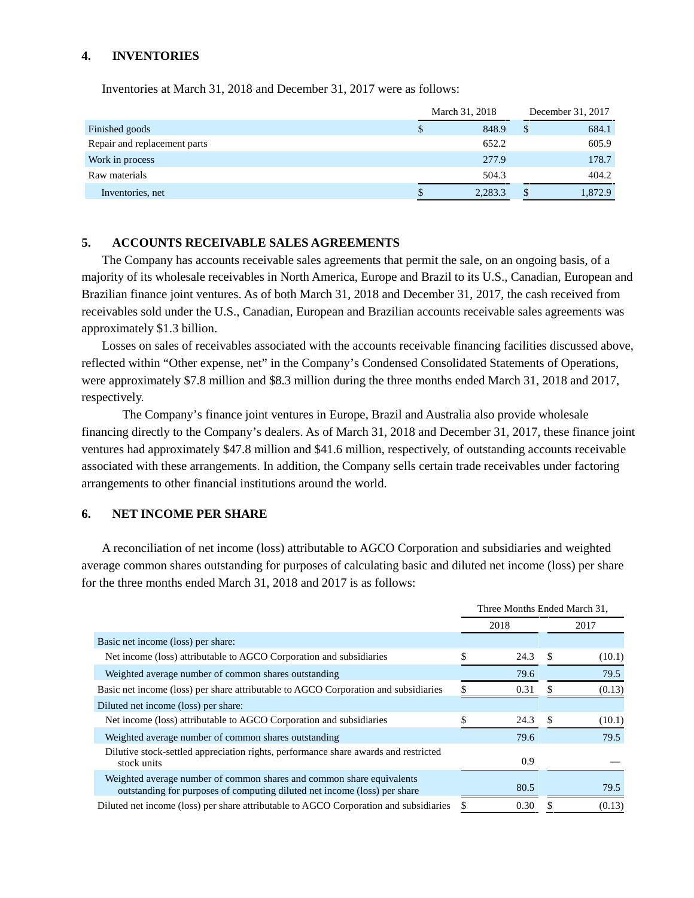#### **4. INVENTORIES**

Inventories at March 31, 2018 and December 31, 2017 were as follows:

|                              | March 31, 2018 |         |    | December 31, 2017 |
|------------------------------|----------------|---------|----|-------------------|
| Finished goods               | \$             | 848.9   |    | 684.1             |
| Repair and replacement parts |                | 652.2   |    | 605.9             |
| Work in process              |                | 277.9   |    | 178.7             |
| Raw materials                |                | 504.3   |    | 404.2             |
| Inventories, net             | \$             | 2,283.3 | \$ | 1,872.9           |

### **5. ACCOUNTS RECEIVABLE SALES AGREEMENTS**

The Company has accounts receivable sales agreements that permit the sale, on an ongoing basis, of a majority of its wholesale receivables in North America, Europe and Brazil to its U.S., Canadian, European and Brazilian finance joint ventures. As of both March 31, 2018 and December 31, 2017, the cash received from receivables sold under the U.S., Canadian, European and Brazilian accounts receivable sales agreements was approximately \$1.3 billion.

Losses on sales of receivables associated with the accounts receivable financing facilities discussed above, reflected within "Other expense, net" in the Company's Condensed Consolidated Statements of Operations, were approximately \$7.8 million and \$8.3 million during the three months ended March 31, 2018 and 2017, respectively.

The Company's finance joint ventures in Europe, Brazil and Australia also provide wholesale financing directly to the Company's dealers. As of March 31, 2018 and December 31, 2017, these finance joint ventures had approximately \$47.8 million and \$41.6 million, respectively, of outstanding accounts receivable associated with these arrangements. In addition, the Company sells certain trade receivables under factoring arrangements to other financial institutions around the world.

### **6. NET INCOME PER SHARE**

A reconciliation of net income (loss) attributable to AGCO Corporation and subsidiaries and weighted average common shares outstanding for purposes of calculating basic and diluted net income (loss) per share for the three months ended March 31, 2018 and 2017 is as follows:

|                                                                                                                                                    | Three Months Ended March 31, |      |    |        |  |  |  |
|----------------------------------------------------------------------------------------------------------------------------------------------------|------------------------------|------|----|--------|--|--|--|
|                                                                                                                                                    |                              | 2018 |    | 2017   |  |  |  |
| Basic net income (loss) per share:                                                                                                                 |                              |      |    |        |  |  |  |
| Net income (loss) attributable to AGCO Corporation and subsidiaries                                                                                |                              | 24.3 |    | (10.1) |  |  |  |
| Weighted average number of common shares outstanding                                                                                               |                              | 79.6 |    | 79.5   |  |  |  |
| Basic net income (loss) per share attributable to AGCO Corporation and subsidiaries                                                                |                              | 0.31 |    | (0.13) |  |  |  |
| Diluted net income (loss) per share:                                                                                                               |                              |      |    |        |  |  |  |
| Net income (loss) attributable to AGCO Corporation and subsidiaries                                                                                |                              | 24.3 | -S | (10.1) |  |  |  |
| Weighted average number of common shares outstanding                                                                                               |                              | 79.6 |    | 79.5   |  |  |  |
| Dilutive stock-settled appreciation rights, performance share awards and restricted<br>stock units                                                 |                              | 0.9  |    |        |  |  |  |
| Weighted average number of common shares and common share equivalents<br>outstanding for purposes of computing diluted net income (loss) per share |                              | 80.5 |    | 79.5   |  |  |  |
| Diluted net income (loss) per share attributable to AGCO Corporation and subsidiaries                                                              |                              | 0.30 |    | (0.13) |  |  |  |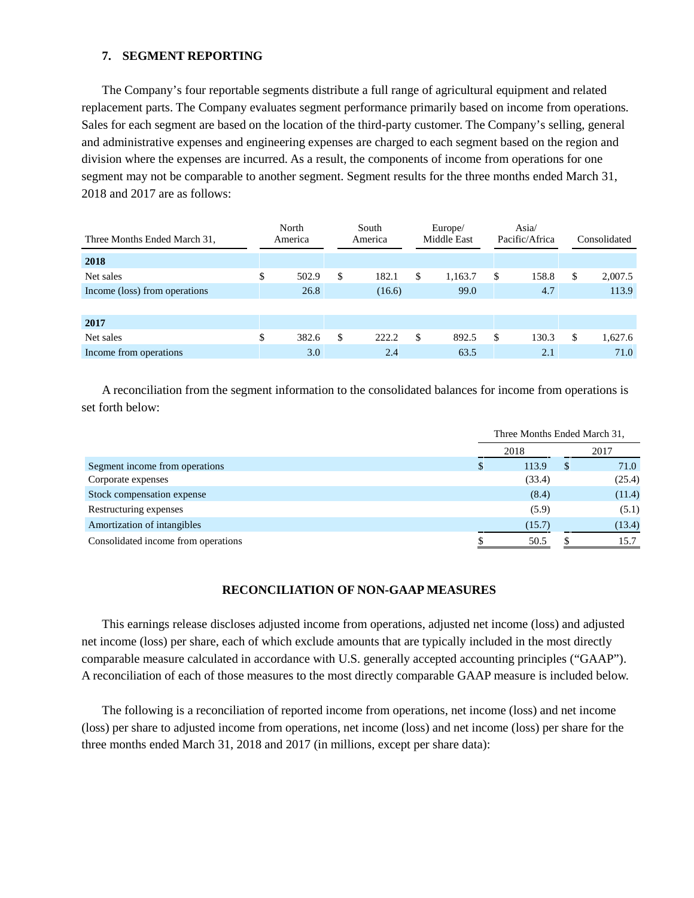### **7. SEGMENT REPORTING**

The Company's four reportable segments distribute a full range of agricultural equipment and related replacement parts. The Company evaluates segment performance primarily based on income from operations. Sales for each segment are based on the location of the third-party customer. The Company's selling, general and administrative expenses and engineering expenses are charged to each segment based on the region and division where the expenses are incurred. As a result, the components of income from operations for one segment may not be comparable to another segment. Segment results for the three months ended March 31, 2018 and 2017 are as follows:

| Three Months Ended March 31,  | North<br>America |    | South<br>America |    | Europe/<br>Middle East |    | Asia/<br>Pacific/Africa | Consolidated  |
|-------------------------------|------------------|----|------------------|----|------------------------|----|-------------------------|---------------|
| 2018                          |                  |    |                  |    |                        |    |                         |               |
| Net sales                     | \$<br>502.9      | S. | 182.1            | \$ | 1,163.7                | \$ | 158.8                   | \$<br>2,007.5 |
| Income (loss) from operations | 26.8             |    | (16.6)           |    | 99.0                   |    | 4.7                     | 113.9         |
|                               |                  |    |                  |    |                        |    |                         |               |
| 2017                          |                  |    |                  |    |                        |    |                         |               |
| Net sales                     | \$<br>382.6      | -S | 222.2            | -S | 892.5                  | S  | 130.3                   | \$<br>1,627.6 |
| Income from operations        | 3.0              |    | 2.4              |    | 63.5                   |    | 2.1                     | 71.0          |

A reconciliation from the segment information to the consolidated balances for income from operations is set forth below:

|                                     |      | Three Months Ended March 31, |   |        |  |  |  |  |
|-------------------------------------|------|------------------------------|---|--------|--|--|--|--|
|                                     | 2018 | 2017                         |   |        |  |  |  |  |
| Segment income from operations      |      | 113.9                        | S | 71.0   |  |  |  |  |
| Corporate expenses                  |      | (33.4)                       |   | (25.4) |  |  |  |  |
| Stock compensation expense          |      | (8.4)                        |   | (11.4) |  |  |  |  |
| Restructuring expenses              |      | (5.9)                        |   | (5.1)  |  |  |  |  |
| Amortization of intangibles         |      | (15.7)                       |   | (13.4) |  |  |  |  |
| Consolidated income from operations |      | 50.5                         |   | 15.7   |  |  |  |  |

#### **RECONCILIATION OF NON-GAAP MEASURES**

This earnings release discloses adjusted income from operations, adjusted net income (loss) and adjusted net income (loss) per share, each of which exclude amounts that are typically included in the most directly comparable measure calculated in accordance with U.S. generally accepted accounting principles ("GAAP"). A reconciliation of each of those measures to the most directly comparable GAAP measure is included below.

The following is a reconciliation of reported income from operations, net income (loss) and net income (loss) per share to adjusted income from operations, net income (loss) and net income (loss) per share for the three months ended March 31, 2018 and 2017 (in millions, except per share data):